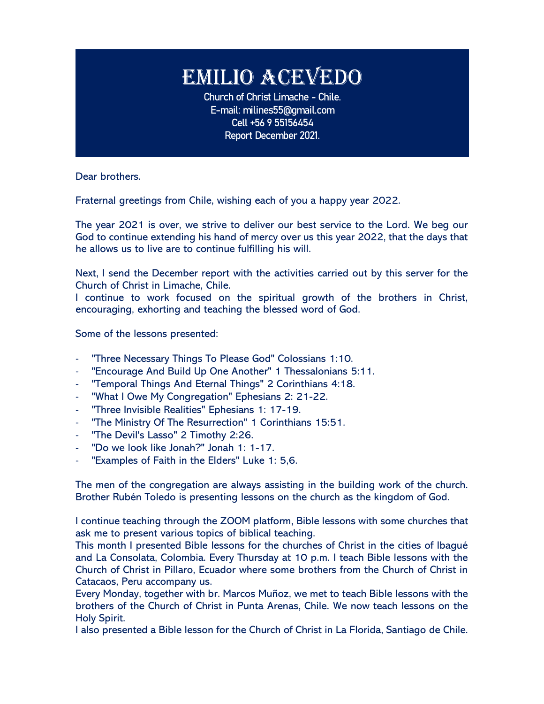## EMILIO ACEVEDO

**Church of Christ Limache - Chile. E-mail: milines55@gmail.com Cell +56 9 55156454 Report December 2021.**

Dear brothers.

Fraternal greetings from Chile, wishing each of you a happy year 2022.

The year 2021 is over, we strive to deliver our best service to the Lord. We beg our God to continue extending his hand of mercy over us this year 2022, that the days that he allows us to live are to continue fulfilling his will.

Next, I send the December report with the activities carried out by this server for the Church of Christ in Limache, Chile.

I continue to work focused on the spiritual growth of the brothers in Christ, encouraging, exhorting and teaching the blessed word of God.

Some of the lessons presented:

- "Three Necessary Things To Please God" Colossians 1:10.
- "Encourage And Build Up One Another" 1 Thessalonians 5:11.
- "Temporal Things And Eternal Things" 2 Corinthians 4:18.
- "What I Owe My Congregation" Ephesians 2: 21-22.
- "Three Invisible Realities" Ephesians 1: 17-19.
- "The Ministry Of The Resurrection" 1 Corinthians 15:51.
- "The Devil's Lasso" 2 Timothy 2:26.
- "Do we look like Jonah?" Jonah 1: 1-17.
- "Examples of Faith in the Elders" Luke 1: 5,6.

The men of the congregation are always assisting in the building work of the church. Brother Rubén Toledo is presenting lessons on the church as the kingdom of God.

I continue teaching through the ZOOM platform, Bible lessons with some churches that ask me to present various topics of biblical teaching.

This month I presented Bible lessons for the churches of Christ in the cities of Ibagué and La Consolata, Colombia. Every Thursday at 10 p.m. I teach Bible lessons with the Church of Christ in Pillaro, Ecuador where some brothers from the Church of Christ in Catacaos, Peru accompany us.

Every Monday, together with br. Marcos Muñoz, we met to teach Bible lessons with the brothers of the Church of Christ in Punta Arenas, Chile. We now teach lessons on the Holy Spirit.

I also presented a Bible lesson for the Church of Christ in La Florida, Santiago de Chile.